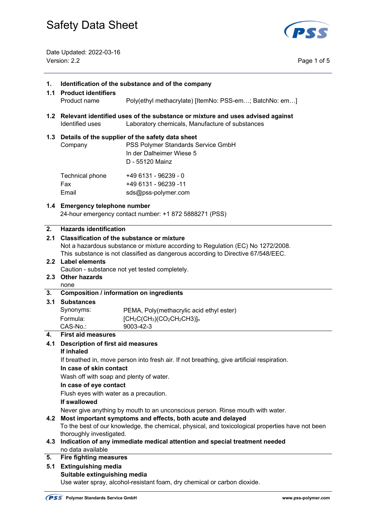

Date Updated: 2022-03-16 Version: 2.2 Page 1 of 5

| 1.  | Identification of the substance and of the company                                                                                                                                                                       |                                                                                                                                           |  |  |  |
|-----|--------------------------------------------------------------------------------------------------------------------------------------------------------------------------------------------------------------------------|-------------------------------------------------------------------------------------------------------------------------------------------|--|--|--|
| 1.1 | <b>Product identifiers</b><br>Product name                                                                                                                                                                               | Poly(ethyl methacrylate) [ItemNo: PSS-em; BatchNo: em]                                                                                    |  |  |  |
|     |                                                                                                                                                                                                                          |                                                                                                                                           |  |  |  |
|     | 1.2 Relevant identified uses of the substance or mixture and uses advised against<br>Identified uses<br>Laboratory chemicals, Manufacture of substances                                                                  |                                                                                                                                           |  |  |  |
|     | Company                                                                                                                                                                                                                  | 1.3 Details of the supplier of the safety data sheet<br>PSS Polymer Standards Service GmbH<br>In der Dalheimer Wiese 5<br>D - 55120 Mainz |  |  |  |
|     | Technical phone<br>Fax<br>Email                                                                                                                                                                                          | +49 6131 - 96239 - 0<br>+49 6131 - 96239 -11<br>sds@pss-polymer.com                                                                       |  |  |  |
|     | 1.4 Emergency telephone number                                                                                                                                                                                           | 24-hour emergency contact number: +1 872 5888271 (PSS)                                                                                    |  |  |  |
| 2.  | <b>Hazards identification</b>                                                                                                                                                                                            |                                                                                                                                           |  |  |  |
| 2.1 | <b>Classification of the substance or mixture</b><br>Not a hazardous substance or mixture according to Regulation (EC) No 1272/2008.<br>This substance is not classified as dangerous according to Directive 67/548/EEC. |                                                                                                                                           |  |  |  |
|     | 2.2 Label elements                                                                                                                                                                                                       |                                                                                                                                           |  |  |  |
|     |                                                                                                                                                                                                                          | Caution - substance not yet tested completely.                                                                                            |  |  |  |
|     | 2.3 Other hazards<br>none                                                                                                                                                                                                |                                                                                                                                           |  |  |  |
| 3.  |                                                                                                                                                                                                                          | <b>Composition / information on ingredients</b>                                                                                           |  |  |  |
| 3.1 | <b>Substances</b>                                                                                                                                                                                                        |                                                                                                                                           |  |  |  |
|     | Synonyms:                                                                                                                                                                                                                | PEMA, Poly(methacrylic acid ethyl ester)                                                                                                  |  |  |  |
|     | Formula:                                                                                                                                                                                                                 | $[CH_2C(CH_3)(CO_2CH_2CH_3)]n$                                                                                                            |  |  |  |
|     | CAS-No.:                                                                                                                                                                                                                 | 9003-42-3                                                                                                                                 |  |  |  |
| 4.  | <b>First aid measures</b>                                                                                                                                                                                                |                                                                                                                                           |  |  |  |
| 4.1 | <b>Description of first aid measures</b><br>If inhaled                                                                                                                                                                   |                                                                                                                                           |  |  |  |
|     |                                                                                                                                                                                                                          | If breathed in, move person into fresh air. If not breathing, give artificial respiration.                                                |  |  |  |
|     | In case of skin contact<br>Wash off with soap and plenty of water.                                                                                                                                                       |                                                                                                                                           |  |  |  |
|     | In case of eye contact                                                                                                                                                                                                   |                                                                                                                                           |  |  |  |
|     | Flush eyes with water as a precaution.                                                                                                                                                                                   |                                                                                                                                           |  |  |  |
|     | If swallowed                                                                                                                                                                                                             |                                                                                                                                           |  |  |  |
|     |                                                                                                                                                                                                                          | Never give anything by mouth to an unconscious person. Rinse mouth with water.                                                            |  |  |  |
|     |                                                                                                                                                                                                                          | 4.2 Most important symptoms and effects, both acute and delayed                                                                           |  |  |  |
|     |                                                                                                                                                                                                                          | To the best of our knowledge, the chemical, physical, and toxicological properties have not been                                          |  |  |  |
|     | thoroughly investigated.                                                                                                                                                                                                 |                                                                                                                                           |  |  |  |
| 4.3 | Indication of any immediate medical attention and special treatment needed<br>no data available                                                                                                                          |                                                                                                                                           |  |  |  |
| 5.  | <b>Fire fighting measures</b>                                                                                                                                                                                            |                                                                                                                                           |  |  |  |
| 5.1 | <b>Extinguishing media</b>                                                                                                                                                                                               |                                                                                                                                           |  |  |  |
|     | Suitable extinguishing media                                                                                                                                                                                             |                                                                                                                                           |  |  |  |
|     | Use water spray, alcohol-resistant foam, dry chemical or carbon dioxide.                                                                                                                                                 |                                                                                                                                           |  |  |  |
|     |                                                                                                                                                                                                                          |                                                                                                                                           |  |  |  |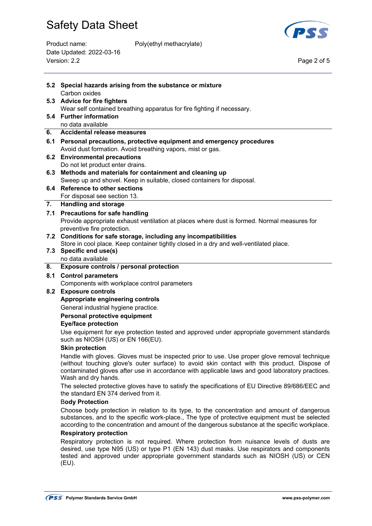Date Updated: 2022-03-16

Version: 2.2

 $\overline{a}$ 





Page 2 of 5

|     | 5.2 Special hazards arising from the substance or mixture<br>Carbon oxides                                                                                                                                                                                                                                              |
|-----|-------------------------------------------------------------------------------------------------------------------------------------------------------------------------------------------------------------------------------------------------------------------------------------------------------------------------|
|     | 5.3 Advice for fire fighters                                                                                                                                                                                                                                                                                            |
|     | Wear self contained breathing apparatus for fire fighting if necessary.                                                                                                                                                                                                                                                 |
|     | 5.4 Further information<br>no data available                                                                                                                                                                                                                                                                            |
| 6.  | Accidental release measures                                                                                                                                                                                                                                                                                             |
|     | 6.1 Personal precautions, protective equipment and emergency procedures                                                                                                                                                                                                                                                 |
|     | Avoid dust formation. Avoid breathing vapors, mist or gas.                                                                                                                                                                                                                                                              |
| 6.2 | <b>Environmental precautions</b>                                                                                                                                                                                                                                                                                        |
|     | Do not let product enter drains.                                                                                                                                                                                                                                                                                        |
| 6.3 | Methods and materials for containment and cleaning up<br>Sweep up and shovel. Keep in suitable, closed containers for disposal.                                                                                                                                                                                         |
| 6.4 | <b>Reference to other sections</b>                                                                                                                                                                                                                                                                                      |
|     | For disposal see section 13.                                                                                                                                                                                                                                                                                            |
| 7.  | <b>Handling and storage</b>                                                                                                                                                                                                                                                                                             |
|     | 7.1 Precautions for safe handling                                                                                                                                                                                                                                                                                       |
|     | Provide appropriate exhaust ventilation at places where dust is formed. Normal measures for                                                                                                                                                                                                                             |
|     | preventive fire protection.                                                                                                                                                                                                                                                                                             |
|     | 7.2 Conditions for safe storage, including any incompatibilities                                                                                                                                                                                                                                                        |
|     | Store in cool place. Keep container tightly closed in a dry and well-ventilated place.                                                                                                                                                                                                                                  |
|     | 7.3 Specific end use(s)<br>no data available                                                                                                                                                                                                                                                                            |
| 8.  | Exposure controls / personal protection                                                                                                                                                                                                                                                                                 |
| 8.1 | <b>Control parameters</b>                                                                                                                                                                                                                                                                                               |
|     | Components with workplace control parameters                                                                                                                                                                                                                                                                            |
| 8.2 | <b>Exposure controls</b>                                                                                                                                                                                                                                                                                                |
|     | Appropriate engineering controls                                                                                                                                                                                                                                                                                        |
|     | General industrial hygiene practice.                                                                                                                                                                                                                                                                                    |
|     | Personal protective equipment                                                                                                                                                                                                                                                                                           |
|     | <b>Eye/face protection</b>                                                                                                                                                                                                                                                                                              |
|     | Use equipment for eye protection tested and approved under appropriate government standards<br>such as NIOSH (US) or EN 166(EU).                                                                                                                                                                                        |
|     | <b>Skin protection</b>                                                                                                                                                                                                                                                                                                  |
|     | Handle with gloves. Gloves must be inspected prior to use. Use proper glove removal technique<br>(without touching glove's outer surface) to avoid skin contact with this product. Dispose of<br>contaminated gloves after use in accordance with applicable laws and good laboratory practices.<br>Wash and dry hands. |
|     | The selected protective gloves have to satisfy the specifications of EU Directive 89/686/EEC and<br>the standard EN 374 derived from it.                                                                                                                                                                                |
|     | <b>Body Protection</b>                                                                                                                                                                                                                                                                                                  |
|     | Choose body protection in relation to its type, to the concentration and amount of dangerous                                                                                                                                                                                                                            |
|     | substances, and to the specific work-place., The type of protective equipment must be selected<br>according to the concentration and amount of the dangerous substance at the specific workplace.                                                                                                                       |
|     | <b>Respiratory protection</b>                                                                                                                                                                                                                                                                                           |
|     | Respiratory protection is not required. Where protection from nuisance levels of dusts are<br>desired, use type N95 (US) or type P1 (EN 143) dust masks. Use respirators and components<br>tested and approved under appropriate government standards such as NIOSH (US) or CEN<br>(EU).                                |
|     |                                                                                                                                                                                                                                                                                                                         |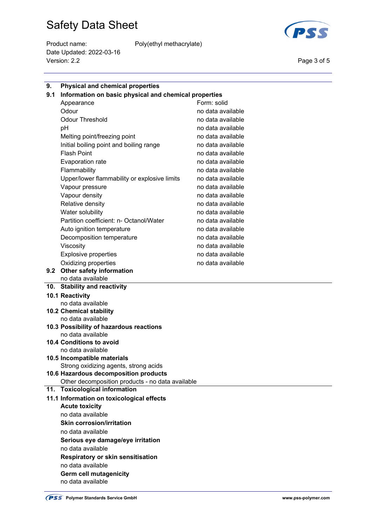Product name: Poly(ethyl methacrylate) Date Updated: 2022-03-16 Version: 2.2 Page 3 of 5



| 9.  | <b>Physical and chemical properties</b>                                           |                   |  |  |
|-----|-----------------------------------------------------------------------------------|-------------------|--|--|
| 9.1 | Information on basic physical and chemical properties                             |                   |  |  |
|     | Appearance                                                                        | Form: solid       |  |  |
|     | Odour                                                                             | no data available |  |  |
|     | <b>Odour Threshold</b>                                                            | no data available |  |  |
|     | pH                                                                                | no data available |  |  |
|     | Melting point/freezing point                                                      | no data available |  |  |
|     | Initial boiling point and boiling range                                           | no data available |  |  |
|     | <b>Flash Point</b>                                                                | no data available |  |  |
|     | <b>Evaporation rate</b>                                                           | no data available |  |  |
|     | Flammability                                                                      | no data available |  |  |
|     | Upper/lower flammability or explosive limits                                      | no data available |  |  |
|     | Vapour pressure                                                                   | no data available |  |  |
|     | Vapour density                                                                    | no data available |  |  |
|     | Relative density                                                                  | no data available |  |  |
|     | Water solubility                                                                  | no data available |  |  |
|     | Partition coefficient: n- Octanol/Water                                           | no data available |  |  |
|     | Auto ignition temperature                                                         | no data available |  |  |
|     | Decomposition temperature                                                         | no data available |  |  |
|     | Viscosity                                                                         | no data available |  |  |
|     | <b>Explosive properties</b>                                                       | no data available |  |  |
|     | Oxidizing properties                                                              | no data available |  |  |
|     | 9.2 Other safety information                                                      |                   |  |  |
|     | no data available                                                                 |                   |  |  |
|     | 10. Stability and reactivity                                                      |                   |  |  |
|     |                                                                                   |                   |  |  |
|     | 10.1 Reactivity                                                                   |                   |  |  |
|     | no data available                                                                 |                   |  |  |
|     | <b>10.2 Chemical stability</b>                                                    |                   |  |  |
|     | no data available                                                                 |                   |  |  |
|     | 10.3 Possibility of hazardous reactions                                           |                   |  |  |
|     | no data available                                                                 |                   |  |  |
|     | 10.4 Conditions to avoid                                                          |                   |  |  |
|     | no data available                                                                 |                   |  |  |
|     | 10.5 Incompatible materials                                                       |                   |  |  |
|     | Strong oxidizing agents, strong acids                                             |                   |  |  |
|     | 10.6 Hazardous decomposition products                                             |                   |  |  |
|     | Other decomposition products - no data available<br>11. Toxicological information |                   |  |  |
|     |                                                                                   |                   |  |  |
|     | 11.1 Information on toxicological effects<br><b>Acute toxicity</b>                |                   |  |  |
|     | no data available                                                                 |                   |  |  |
|     | <b>Skin corrosion/irritation</b>                                                  |                   |  |  |
|     | no data available                                                                 |                   |  |  |
|     | Serious eye damage/eye irritation                                                 |                   |  |  |
|     | no data available                                                                 |                   |  |  |
|     | <b>Respiratory or skin sensitisation</b>                                          |                   |  |  |
|     | no data available                                                                 |                   |  |  |
|     | Germ cell mutagenicity                                                            |                   |  |  |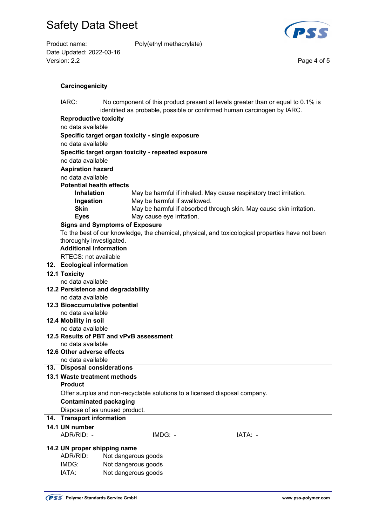Product name: Poly(ethyl methacrylate) Date Updated: 2022-03-16 Version: 2.2 Page 4 of 5



#### **Carcinogenicity**

| IARC:<br>No component of this product present at levels greater than or equal to 0.1% is<br>identified as probable, possible or confirmed human carcinogen by IARC. |                                                                            |  |  |  |  |
|---------------------------------------------------------------------------------------------------------------------------------------------------------------------|----------------------------------------------------------------------------|--|--|--|--|
| <b>Reproductive toxicity</b>                                                                                                                                        |                                                                            |  |  |  |  |
| no data available                                                                                                                                                   |                                                                            |  |  |  |  |
| Specific target organ toxicity - single exposure                                                                                                                    |                                                                            |  |  |  |  |
| no data available                                                                                                                                                   |                                                                            |  |  |  |  |
| Specific target organ toxicity - repeated exposure                                                                                                                  |                                                                            |  |  |  |  |
| no data available                                                                                                                                                   |                                                                            |  |  |  |  |
| <b>Aspiration hazard</b>                                                                                                                                            |                                                                            |  |  |  |  |
| no data available                                                                                                                                                   |                                                                            |  |  |  |  |
| <b>Potential health effects</b>                                                                                                                                     |                                                                            |  |  |  |  |
| <b>Inhalation</b>                                                                                                                                                   | May be harmful if inhaled. May cause respiratory tract irritation.         |  |  |  |  |
| Ingestion                                                                                                                                                           | May be harmful if swallowed.                                               |  |  |  |  |
| <b>Skin</b>                                                                                                                                                         | May be harmful if absorbed through skin. May cause skin irritation.        |  |  |  |  |
| <b>Eyes</b>                                                                                                                                                         | May cause eye irritation.                                                  |  |  |  |  |
| <b>Signs and Symptoms of Exposure</b><br>To the best of our knowledge, the chemical, physical, and toxicological properties have not been                           |                                                                            |  |  |  |  |
| thoroughly investigated.                                                                                                                                            |                                                                            |  |  |  |  |
| <b>Additional Information</b>                                                                                                                                       |                                                                            |  |  |  |  |
| RTECS: not available                                                                                                                                                |                                                                            |  |  |  |  |
| 12. Ecological information                                                                                                                                          |                                                                            |  |  |  |  |
| <b>12.1 Toxicity</b>                                                                                                                                                |                                                                            |  |  |  |  |
| no data available                                                                                                                                                   |                                                                            |  |  |  |  |
|                                                                                                                                                                     | 12.2 Persistence and degradability                                         |  |  |  |  |
| no data available                                                                                                                                                   |                                                                            |  |  |  |  |
| 12.3 Bioaccumulative potential                                                                                                                                      |                                                                            |  |  |  |  |
| no data available                                                                                                                                                   |                                                                            |  |  |  |  |
| 12.4 Mobility in soil<br>no data available                                                                                                                          |                                                                            |  |  |  |  |
|                                                                                                                                                                     | 12.5 Results of PBT and vPvB assessment                                    |  |  |  |  |
| no data available                                                                                                                                                   |                                                                            |  |  |  |  |
| 12.6 Other adverse effects                                                                                                                                          |                                                                            |  |  |  |  |
| no data available                                                                                                                                                   |                                                                            |  |  |  |  |
| 13. Disposal considerations                                                                                                                                         |                                                                            |  |  |  |  |
| 13.1 Waste treatment methods                                                                                                                                        |                                                                            |  |  |  |  |
| <b>Product</b>                                                                                                                                                      |                                                                            |  |  |  |  |
|                                                                                                                                                                     | Offer surplus and non-recyclable solutions to a licensed disposal company. |  |  |  |  |
| <b>Contaminated packaging</b>                                                                                                                                       |                                                                            |  |  |  |  |
|                                                                                                                                                                     | Dispose of as unused product.                                              |  |  |  |  |
| 14. Transport information                                                                                                                                           |                                                                            |  |  |  |  |
| 14.1 UN number                                                                                                                                                      |                                                                            |  |  |  |  |
| ADR/RID: -                                                                                                                                                          | IMDG: -<br>IATA: -                                                         |  |  |  |  |
| 14.2 UN proper shipping name                                                                                                                                        |                                                                            |  |  |  |  |
| ADR/RID:                                                                                                                                                            | Not dangerous goods                                                        |  |  |  |  |
| IMDG:                                                                                                                                                               | Not dangerous goods                                                        |  |  |  |  |
| IATA:                                                                                                                                                               | Not dangerous goods                                                        |  |  |  |  |
|                                                                                                                                                                     |                                                                            |  |  |  |  |